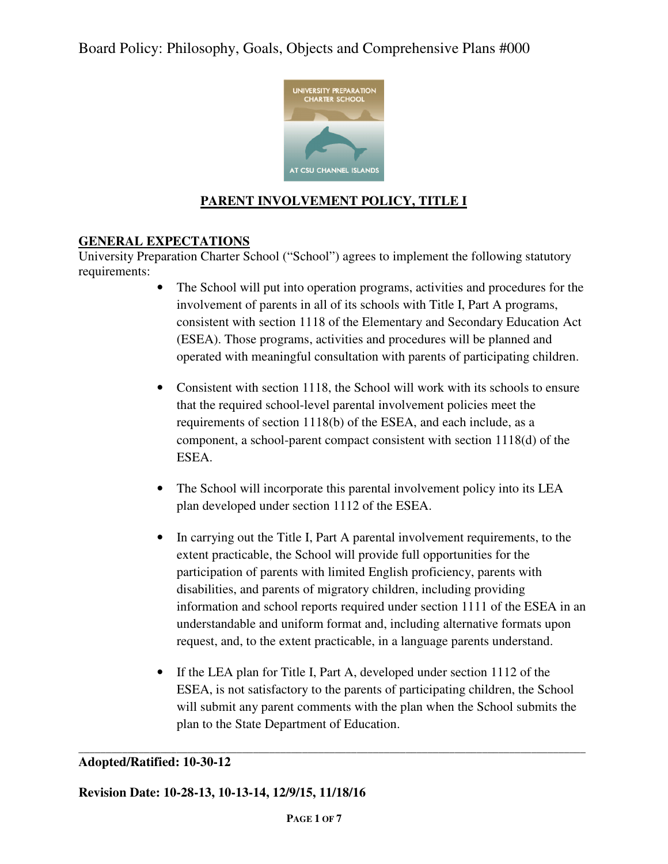

# **PARENT INVOLVEMENT POLICY, TITLE I**

## **GENERAL EXPECTATIONS**

University Preparation Charter School ("School") agrees to implement the following statutory requirements:

- The School will put into operation programs, activities and procedures for the involvement of parents in all of its schools with Title I, Part A programs, consistent with section 1118 of the Elementary and Secondary Education Act (ESEA). Those programs, activities and procedures will be planned and operated with meaningful consultation with parents of participating children.
- Consistent with section 1118, the School will work with its schools to ensure that the required school-level parental involvement policies meet the requirements of section 1118(b) of the ESEA, and each include, as a component, a school-parent compact consistent with section 1118(d) of the ESEA.
- The School will incorporate this parental involvement policy into its LEA plan developed under section 1112 of the ESEA.
- In carrying out the Title I, Part A parental involvement requirements, to the extent practicable, the School will provide full opportunities for the participation of parents with limited English proficiency, parents with disabilities, and parents of migratory children, including providing information and school reports required under section 1111 of the ESEA in an understandable and uniform format and, including alternative formats upon request, and, to the extent practicable, in a language parents understand.
- If the LEA plan for Title I, Part A, developed under section 1112 of the ESEA, is not satisfactory to the parents of participating children, the School will submit any parent comments with the plan when the School submits the plan to the State Department of Education.

#### **\_\_\_\_\_\_\_\_\_\_\_\_\_\_\_\_\_\_\_\_\_\_\_\_\_\_\_\_\_\_\_\_\_\_\_\_\_\_\_\_\_\_\_\_\_\_\_\_\_\_\_\_\_\_\_\_\_\_\_\_\_\_\_\_\_\_\_\_\_\_\_\_\_\_\_\_\_\_\_\_\_\_\_\_\_\_\_\_\_\_\_\_\_ Adopted/Ratified: 10-30-12**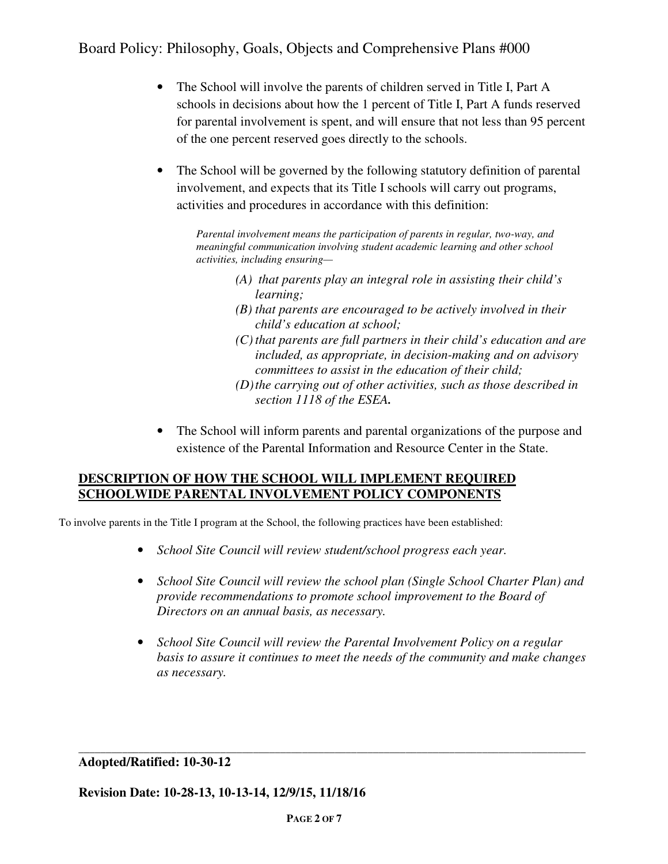- The School will involve the parents of children served in Title I, Part A schools in decisions about how the 1 percent of Title I, Part A funds reserved for parental involvement is spent, and will ensure that not less than 95 percent of the one percent reserved goes directly to the schools.
- The School will be governed by the following statutory definition of parental involvement, and expects that its Title I schools will carry out programs, activities and procedures in accordance with this definition:

*Parental involvement means the participation of parents in regular, two-way, and meaningful communication involving student academic learning and other school activities, including ensuring—* 

- *(A) that parents play an integral role in assisting their child's learning;*
- *(B) that parents are encouraged to be actively involved in their child's education at school;*
- *(C) that parents are full partners in their child's education and are included, as appropriate, in decision-making and on advisory committees to assist in the education of their child;*
- *(D) the carrying out of other activities, such as those described in section 1118 of the ESEA.*
- The School will inform parents and parental organizations of the purpose and existence of the Parental Information and Resource Center in the State.

### **DESCRIPTION OF HOW THE SCHOOL WILL IMPLEMENT REQUIRED SCHOOLWIDE PARENTAL INVOLVEMENT POLICY COMPONENTS**

To involve parents in the Title I program at the School, the following practices have been established:

- *School Site Council will review student/school progress each year.*
- *School Site Council will review the school plan (Single School Charter Plan) and provide recommendations to promote school improvement to the Board of Directors on an annual basis, as necessary.*
- *School Site Council will review the Parental Involvement Policy on a regular basis to assure it continues to meet the needs of the community and make changes as necessary.*

**Adopted/Ratified: 10-30-12** 

**Revision Date: 10-28-13, 10-13-14, 12/9/15, 11/18/16** 

**\_\_\_\_\_\_\_\_\_\_\_\_\_\_\_\_\_\_\_\_\_\_\_\_\_\_\_\_\_\_\_\_\_\_\_\_\_\_\_\_\_\_\_\_\_\_\_\_\_\_\_\_\_\_\_\_\_\_\_\_\_\_\_\_\_\_\_\_\_\_\_\_\_\_\_\_\_\_\_\_\_\_\_\_\_\_\_\_\_\_\_\_\_**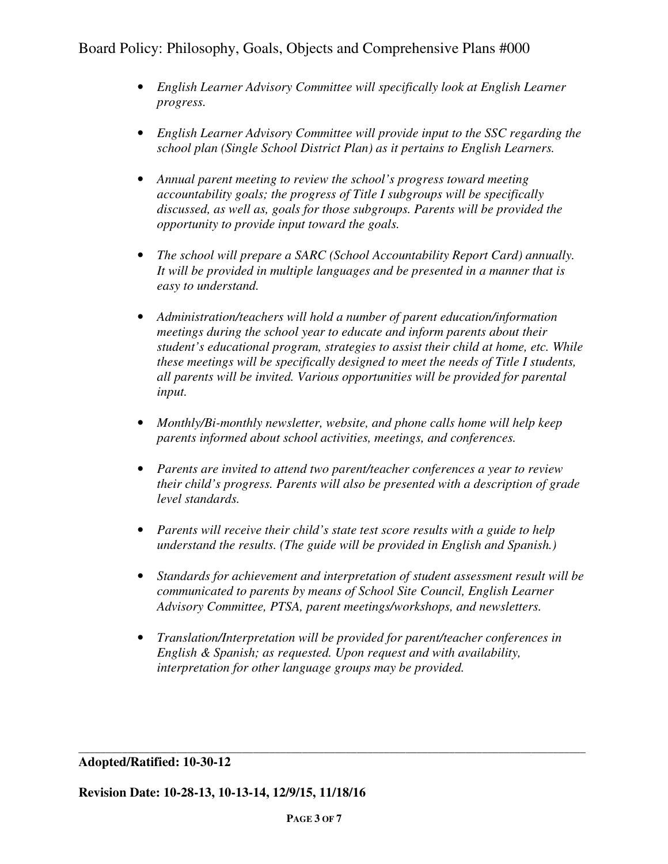- *English Learner Advisory Committee will specifically look at English Learner progress.*
- *English Learner Advisory Committee will provide input to the SSC regarding the school plan (Single School District Plan) as it pertains to English Learners.*
- *Annual parent meeting to review the school's progress toward meeting accountability goals; the progress of Title I subgroups will be specifically discussed, as well as, goals for those subgroups. Parents will be provided the opportunity to provide input toward the goals.*
- *The school will prepare a SARC (School Accountability Report Card) annually. It will be provided in multiple languages and be presented in a manner that is easy to understand.*
- *Administration/teachers will hold a number of parent education/information meetings during the school year to educate and inform parents about their student's educational program, strategies to assist their child at home, etc. While these meetings will be specifically designed to meet the needs of Title I students, all parents will be invited. Various opportunities will be provided for parental input.*
- *Monthly/Bi-monthly newsletter, website, and phone calls home will help keep parents informed about school activities, meetings, and conferences.*
- *Parents are invited to attend two parent/teacher conferences a year to review their child's progress. Parents will also be presented with a description of grade level standards.*
- *Parents will receive their child's state test score results with a guide to help understand the results. (The guide will be provided in English and Spanish.)*
- *Standards for achievement and interpretation of student assessment result will be communicated to parents by means of School Site Council, English Learner Advisory Committee, PTSA, parent meetings/workshops, and newsletters.*
- *Translation/Interpretation will be provided for parent/teacher conferences in English & Spanish; as requested. Upon request and with availability, interpretation for other language groups may be provided.*

**\_\_\_\_\_\_\_\_\_\_\_\_\_\_\_\_\_\_\_\_\_\_\_\_\_\_\_\_\_\_\_\_\_\_\_\_\_\_\_\_\_\_\_\_\_\_\_\_\_\_\_\_\_\_\_\_\_\_\_\_\_\_\_\_\_\_\_\_\_\_\_\_\_\_\_\_\_\_\_\_\_\_\_\_\_\_\_\_\_\_\_\_\_ Adopted/Ratified: 10-30-12**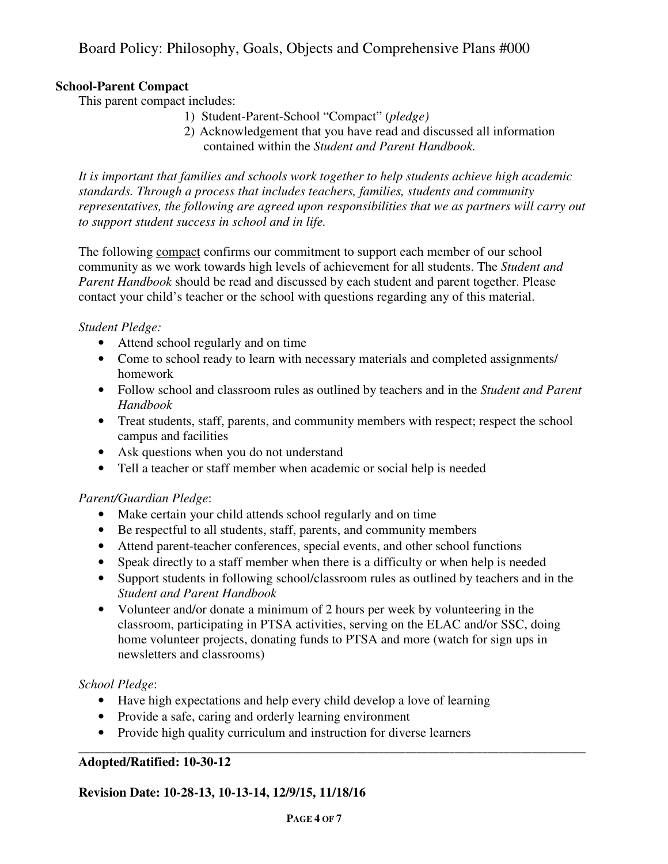## **School-Parent Compact**

This parent compact includes:

- 1) Student-Parent-School "Compact" (*pledge)*
- 2) Acknowledgement that you have read and discussed all information contained within the *Student and Parent Handbook.*

*It is important that families and schools work together to help students achieve high academic standards. Through a process that includes teachers, families, students and community representatives, the following are agreed upon responsibilities that we as partners will carry out to support student success in school and in life.* 

The following compact confirms our commitment to support each member of our school community as we work towards high levels of achievement for all students. The *Student and Parent Handbook* should be read and discussed by each student and parent together. Please contact your child's teacher or the school with questions regarding any of this material.

### *Student Pledge:*

- Attend school regularly and on time
- Come to school ready to learn with necessary materials and completed assignments/ homework
- Follow school and classroom rules as outlined by teachers and in the *Student and Parent Handbook*
- Treat students, staff, parents, and community members with respect; respect the school campus and facilities
- Ask questions when you do not understand
- Tell a teacher or staff member when academic or social help is needed

## *Parent/Guardian Pledge*:

- Make certain your child attends school regularly and on time
- Be respectful to all students, staff, parents, and community members
- Attend parent-teacher conferences, special events, and other school functions
- Speak directly to a staff member when there is a difficulty or when help is needed
- Support students in following school/classroom rules as outlined by teachers and in the *Student and Parent Handbook*
- Volunteer and/or donate a minimum of 2 hours per week by volunteering in the classroom, participating in PTSA activities, serving on the ELAC and/or SSC, doing home volunteer projects, donating funds to PTSA and more (watch for sign ups in newsletters and classrooms)

**\_\_\_\_\_\_\_\_\_\_\_\_\_\_\_\_\_\_\_\_\_\_\_\_\_\_\_\_\_\_\_\_\_\_\_\_\_\_\_\_\_\_\_\_\_\_\_\_\_\_\_\_\_\_\_\_\_\_\_\_\_\_\_\_\_\_\_\_\_\_\_\_\_\_\_\_\_\_\_\_\_\_\_\_\_\_\_\_\_\_\_\_\_** 

### *School Pledge*:

- Have high expectations and help every child develop a love of learning
- Provide a safe, caring and orderly learning environment
- Provide high quality curriculum and instruction for diverse learners

### **Adopted/Ratified: 10-30-12**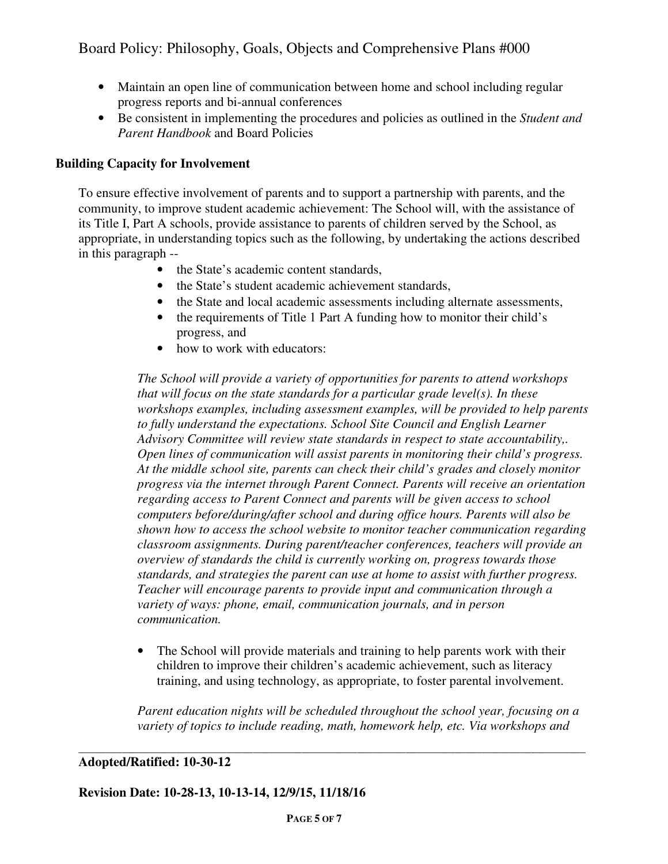- Maintain an open line of communication between home and school including regular progress reports and bi-annual conferences
- Be consistent in implementing the procedures and policies as outlined in the *Student and Parent Handbook* and Board Policies

## **Building Capacity for Involvement**

To ensure effective involvement of parents and to support a partnership with parents, and the community, to improve student academic achievement: The School will, with the assistance of its Title I, Part A schools, provide assistance to parents of children served by the School, as appropriate, in understanding topics such as the following, by undertaking the actions described in this paragraph --

- the State's academic content standards,
- the State's student academic achievement standards,
- the State and local academic assessments including alternate assessments,
- the requirements of Title 1 Part A funding how to monitor their child's progress, and
- how to work with educators:

*The School will provide a variety of opportunities for parents to attend workshops that will focus on the state standards for a particular grade level(s). In these workshops examples, including assessment examples, will be provided to help parents*  to fully understand the expectations. School Site Council and English Learner *Advisory Committee will review state standards in respect to state accountability,. Open lines of communication will assist parents in monitoring their child's progress. At the middle school site, parents can check their child's grades and closely monitor progress via the internet through Parent Connect. Parents will receive an orientation regarding access to Parent Connect and parents will be given access to school computers before/during/after school and during office hours. Parents will also be shown how to access the school website to monitor teacher communication regarding classroom assignments. During parent/teacher conferences, teachers will provide an overview of standards the child is currently working on, progress towards those standards, and strategies the parent can use at home to assist with further progress. Teacher will encourage parents to provide input and communication through a variety of ways: phone, email, communication journals, and in person communication.*

• The School will provide materials and training to help parents work with their children to improve their children's academic achievement, such as literacy training, and using technology, as appropriate, to foster parental involvement.

*Parent education nights will be scheduled throughout the school year, focusing on a variety of topics to include reading, math, homework help, etc. Via workshops and* 

**\_\_\_\_\_\_\_\_\_\_\_\_\_\_\_\_\_\_\_\_\_\_\_\_\_\_\_\_\_\_\_\_\_\_\_\_\_\_\_\_\_\_\_\_\_\_\_\_\_\_\_\_\_\_\_\_\_\_\_\_\_\_\_\_\_\_\_\_\_\_\_\_\_\_\_\_\_\_\_\_\_\_\_\_\_\_\_\_\_\_\_\_\_** 

## **Adopted/Ratified: 10-30-12**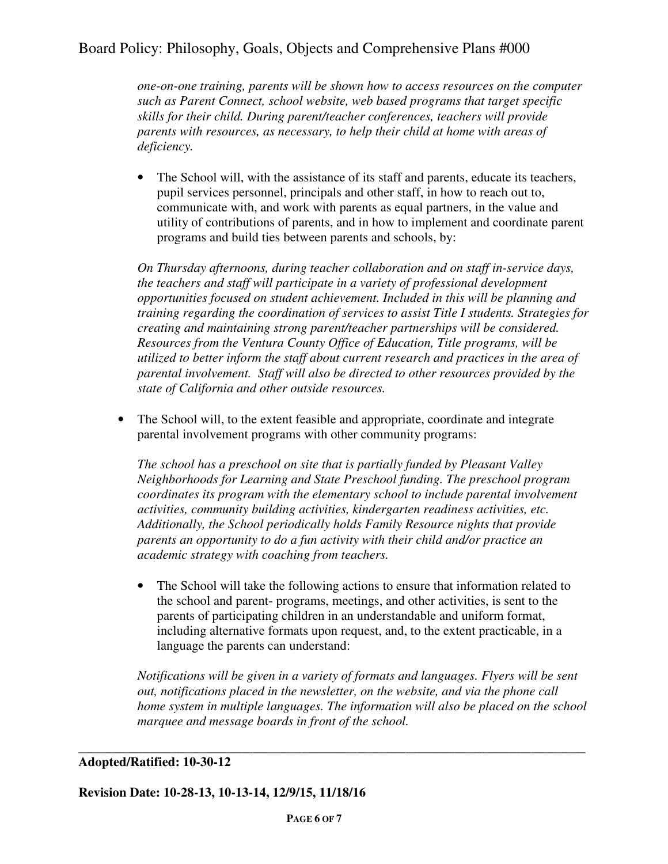*one-on-one training, parents will be shown how to access resources on the computer such as Parent Connect, school website, web based programs that target specific skills for their child. During parent/teacher conferences, teachers will provide parents with resources, as necessary, to help their child at home with areas of deficiency.* 

• The School will, with the assistance of its staff and parents, educate its teachers, pupil services personnel, principals and other staff, in how to reach out to, communicate with, and work with parents as equal partners, in the value and utility of contributions of parents, and in how to implement and coordinate parent programs and build ties between parents and schools, by:

*On Thursday afternoons, during teacher collaboration and on staff in-service days, the teachers and staff will participate in a variety of professional development opportunities focused on student achievement. Included in this will be planning and training regarding the coordination of services to assist Title I students. Strategies for creating and maintaining strong parent/teacher partnerships will be considered. Resources from the Ventura County Office of Education, Title programs, will be utilized to better inform the staff about current research and practices in the area of parental involvement. Staff will also be directed to other resources provided by the state of California and other outside resources.* 

• The School will, to the extent feasible and appropriate, coordinate and integrate parental involvement programs with other community programs:

*The school has a preschool on site that is partially funded by Pleasant Valley Neighborhoods for Learning and State Preschool funding. The preschool program coordinates its program with the elementary school to include parental involvement activities, community building activities, kindergarten readiness activities, etc. Additionally, the School periodically holds Family Resource nights that provide parents an opportunity to do a fun activity with their child and/or practice an academic strategy with coaching from teachers.* 

• The School will take the following actions to ensure that information related to the school and parent- programs, meetings, and other activities, is sent to the parents of participating children in an understandable and uniform format, including alternative formats upon request, and, to the extent practicable, in a language the parents can understand:

*Notifications will be given in a variety of formats and languages. Flyers will be sent out, notifications placed in the newsletter, on the website, and via the phone call home system in multiple languages. The information will also be placed on the school marquee and message boards in front of the school.* 

### **Adopted/Ratified: 10-30-12**

**Revision Date: 10-28-13, 10-13-14, 12/9/15, 11/18/16** 

**\_\_\_\_\_\_\_\_\_\_\_\_\_\_\_\_\_\_\_\_\_\_\_\_\_\_\_\_\_\_\_\_\_\_\_\_\_\_\_\_\_\_\_\_\_\_\_\_\_\_\_\_\_\_\_\_\_\_\_\_\_\_\_\_\_\_\_\_\_\_\_\_\_\_\_\_\_\_\_\_\_\_\_\_\_\_\_\_\_\_\_\_\_**